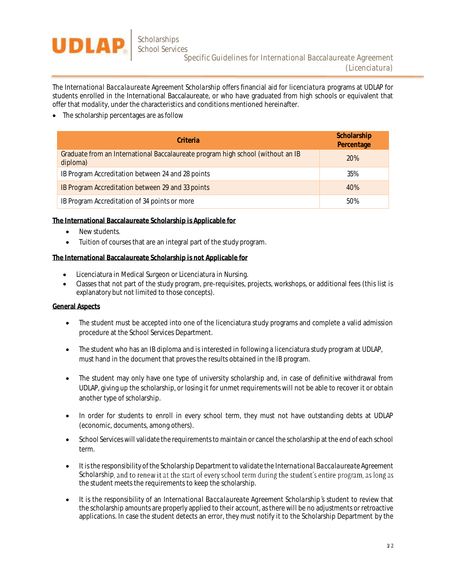

The *International Baccalaureate Agreement Scholarship* offers financial aid for *licenciatura* programs at UDLAP for students enrolled in the International Baccalaureate, or who have graduated from high schools or equivalent that offer that modality, under the characteristics and conditions mentioned hereinafter.

• The scholarship percentages are as follow

| Criteria                                                                                    | Scholarship<br>Percentage |
|---------------------------------------------------------------------------------------------|---------------------------|
| Graduate from an International Baccalaureate program high school (without an IB<br>diploma) | 20%                       |
| IB Program Accreditation between 24 and 28 points                                           | 35%                       |
| IB Program Accreditation between 29 and 33 points                                           | 40%                       |
| IB Program Accreditation of 34 points or more                                               | 50%                       |

**The International Baccalaureate Scholarship is Applicable for**

- New students.
- Tuition of courses that are an integral part of the study program.

**The International Baccalaureate Scholarship is not Applicable for**

- Licenciatura in Medical Surgeon or Licenciatura in Nursing.
- Classes that not part of the study program, pre-requisites, projects, workshops, or additional fees (this list is explanatory but not limited to those concepts).

## **General Aspects**

- The student must be accepted into one of the licenciatura study programs and complete a valid admission procedure at the School Services Department.
- The student who has an IB diploma and is interested in following a licenciatura study program at UDLAP, must hand in the document that proves the results obtained in the IB program.
- The student may only have one type of university scholarship and, in case of definitive withdrawal from UDLAP, giving up the scholarship, or losing it for unmet requirements will not be able to recover it or obtain another type of scholarship.
- In order for students to enroll in every school term, they must not have outstanding debts at UDLAP (economic, documents, among others).
- School Services will validate the requirements to maintain or cancel the scholarship at the end of each school term.
- It is the responsibility of the Scholarship Department to validate the *International Baccalaureate Agreement Scholarship*, and to renew it at the start of every school term during the student's entire program, as long as the student meets the requirements to keep the scholarship.
- It is the responsibility of an *International Baccalaureate Agreement Scholarship s* student to review that the scholarship amounts are properly applied to their account, as there will be no adjustments or retroactive applications. In case the student detects an error, they must notify it to the Scholarship Department by the